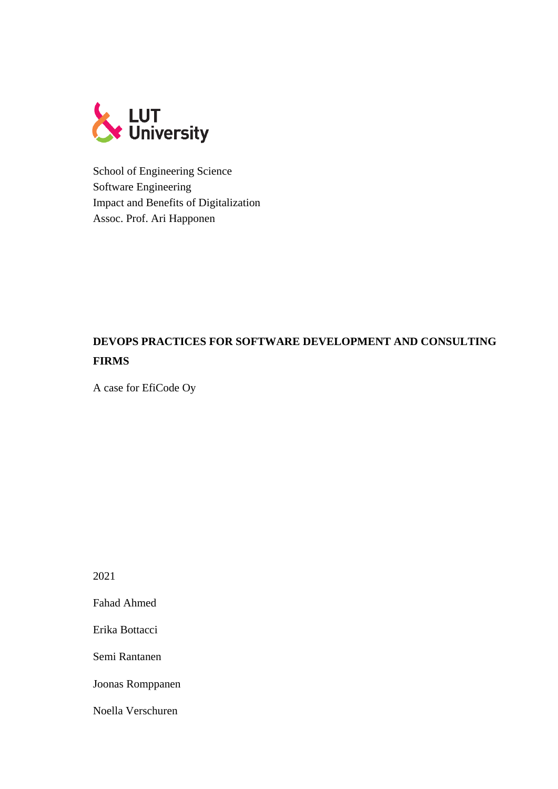

School of Engineering Science Software Engineering Impact and Benefits of Digitalization Assoc. Prof. Ari Happonen

# **DEVOPS PRACTICES FOR SOFTWARE DEVELOPMENT AND CONSULTING FIRMS**

A case for EfiCode Oy

2021

Fahad Ahmed

Erika Bottacci

Semi Rantanen

Joonas Romppanen

Noella Verschuren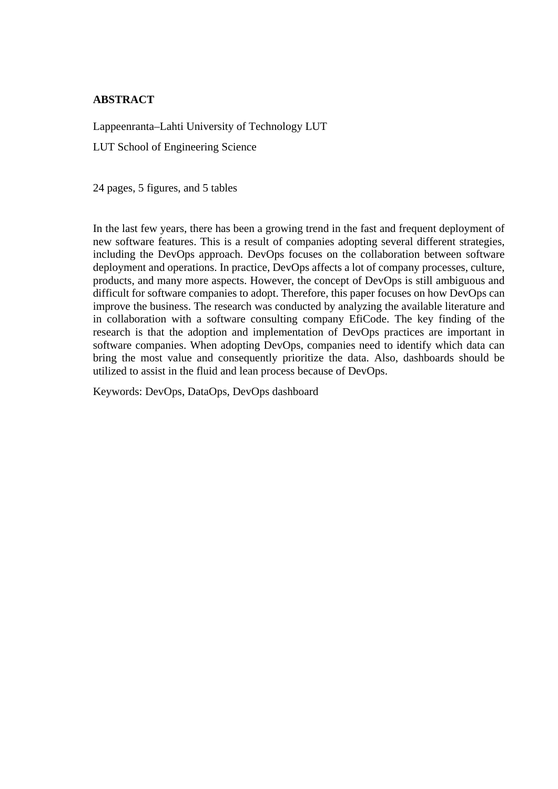### **ABSTRACT**

Lappeenranta–Lahti University of Technology LUT

LUT School of Engineering Science

24 pages, 5 figures, and 5 tables

In the last few years, there has been a growing trend in the fast and frequent deployment of new software features. This is a result of companies adopting several different strategies, including the DevOps approach. DevOps focuses on the collaboration between software deployment and operations. In practice, DevOps affects a lot of company processes, culture, products, and many more aspects. However, the concept of DevOps is still ambiguous and difficult for software companies to adopt. Therefore, this paper focuses on how DevOps can improve the business. The research was conducted by analyzing the available literature and in collaboration with a software consulting company EfiCode. The key finding of the research is that the adoption and implementation of DevOps practices are important in software companies. When adopting DevOps, companies need to identify which data can bring the most value and consequently prioritize the data. Also, dashboards should be utilized to assist in the fluid and lean process because of DevOps.

Keywords: DevOps, DataOps, DevOps dashboard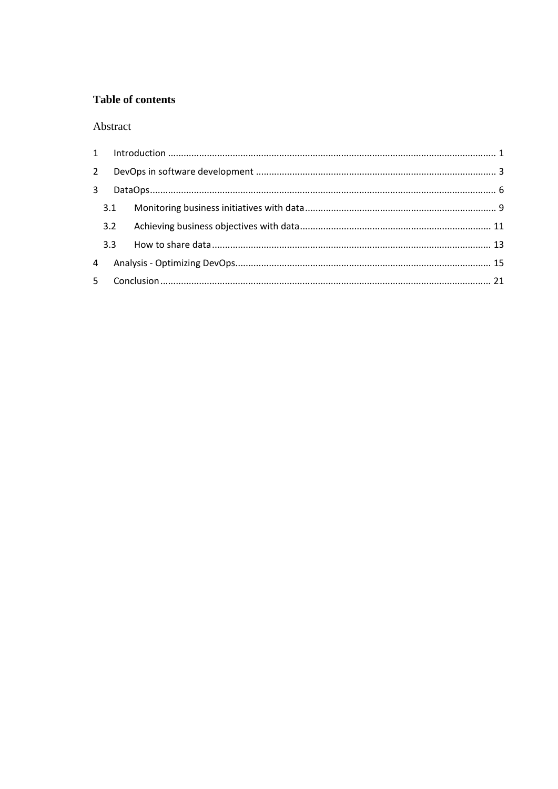## **Table of contents**

### Abstract

| 3 <sup>1</sup> |  |
|----------------|--|
|                |  |
|                |  |
|                |  |
|                |  |
|                |  |
|                |  |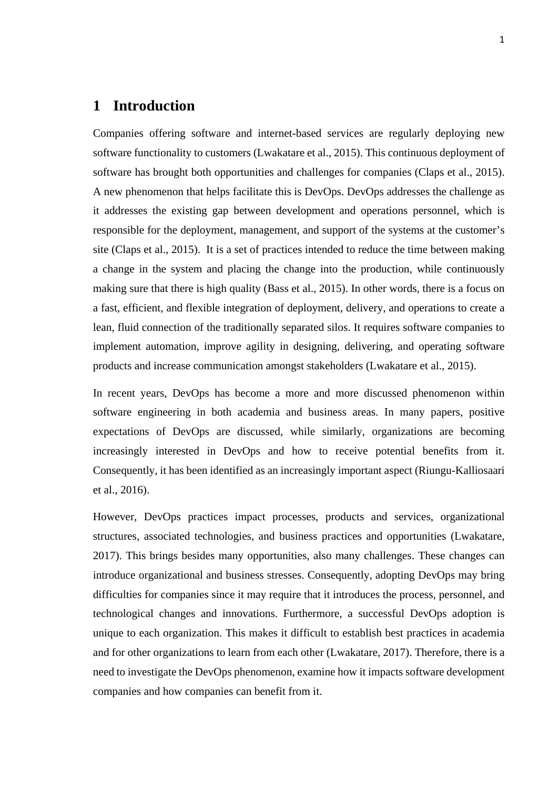## <span id="page-3-0"></span>**1 Introduction**

Companies offering software and internet-based services are regularly deploying new software functionality to customers (Lwakatare et al., 2015). This continuous deployment of software has brought both opportunities and challenges for companies (Claps et al., 2015). A new phenomenon that helps facilitate this is DevOps. DevOps addresses the challenge as it addresses the existing gap between development and operations personnel, which is responsible for the deployment, management, and support of the systems at the customer's site (Claps et al., 2015). It is a set of practices intended to reduce the time between making a change in the system and placing the change into the production, while continuously making sure that there is high quality (Bass et al., 2015). In other words, there is a focus on a fast, efficient, and flexible integration of deployment, delivery, and operations to create a lean, fluid connection of the traditionally separated silos. It requires software companies to implement automation, improve agility in designing, delivering, and operating software products and increase communication amongst stakeholders (Lwakatare et al., 2015).

In recent years, DevOps has become a more and more discussed phenomenon within software engineering in both academia and business areas. In many papers, positive expectations of DevOps are discussed, while similarly, organizations are becoming increasingly interested in DevOps and how to receive potential benefits from it. Consequently, it has been identified as an increasingly important aspect (Riungu-Kalliosaari et al., 2016).

However, DevOps practices impact processes, products and services, organizational structures, associated technologies, and business practices and opportunities (Lwakatare, 2017). This brings besides many opportunities, also many challenges. These changes can introduce organizational and business stresses. Consequently, adopting DevOps may bring difficulties for companies since it may require that it introduces the process, personnel, and technological changes and innovations. Furthermore, a successful DevOps adoption is unique to each organization. This makes it difficult to establish best practices in academia and for other organizations to learn from each other (Lwakatare, 2017). Therefore, there is a need to investigate the DevOps phenomenon, examine how it impacts software development companies and how companies can benefit from it.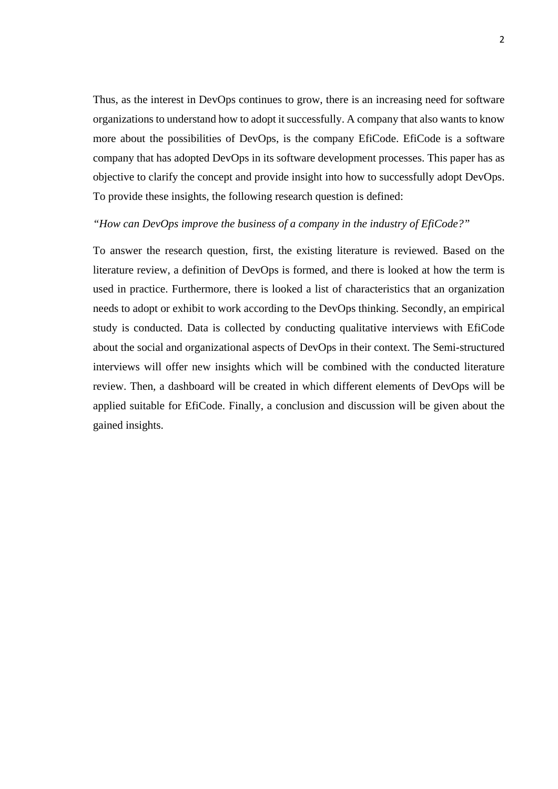Thus, as the interest in DevOps continues to grow, there is an increasing need for software organizations to understand how to adopt it successfully. A company that also wants to know more about the possibilities of DevOps, is the company EfiCode. EfiCode is a software company that has adopted DevOps in its software development processes. This paper has as objective to clarify the concept and provide insight into how to successfully adopt DevOps. To provide these insights, the following research question is defined:

### *"How can DevOps improve the business of a company in the industry of EfiCode?"*

To answer the research question, first, the existing literature is reviewed. Based on the literature review, a definition of DevOps is formed, and there is looked at how the term is used in practice. Furthermore, there is looked a list of characteristics that an organization needs to adopt or exhibit to work according to the DevOps thinking. Secondly, an empirical study is conducted. Data is collected by conducting qualitative interviews with EfiCode about the social and organizational aspects of DevOps in their context. The Semi-structured interviews will offer new insights which will be combined with the conducted literature review. Then, a dashboard will be created in which different elements of DevOps will be applied suitable for EfiCode. Finally, a conclusion and discussion will be given about the gained insights.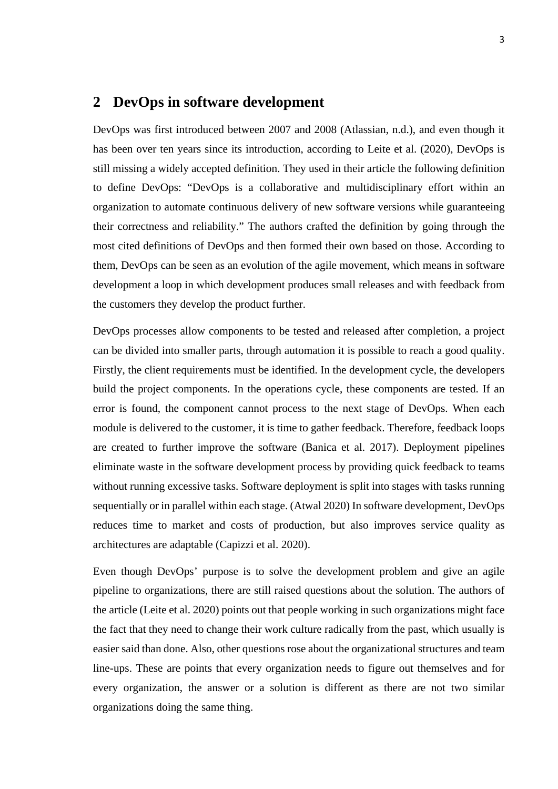# <span id="page-5-0"></span>**2 DevOps in software development**

DevOps was first introduced between 2007 and 2008 (Atlassian, n.d.), and even though it has been over ten years since its introduction, according to Leite et al. (2020), DevOps is still missing a widely accepted definition. They used in their article the following definition to define DevOps: "DevOps is a collaborative and multidisciplinary effort within an organization to automate continuous delivery of new software versions while guaranteeing their correctness and reliability." The authors crafted the definition by going through the most cited definitions of DevOps and then formed their own based on those. According to them, DevOps can be seen as an evolution of the agile movement, which means in software development a loop in which development produces small releases and with feedback from the customers they develop the product further.

DevOps processes allow components to be tested and released after completion, a project can be divided into smaller parts, through automation it is possible to reach a good quality. Firstly, the client requirements must be identified. In the development cycle, the developers build the project components. In the operations cycle, these components are tested. If an error is found, the component cannot process to the next stage of DevOps. When each module is delivered to the customer, it is time to gather feedback. Therefore, feedback loops are created to further improve the software (Banica et al. 2017). Deployment pipelines eliminate waste in the software development process by providing quick feedback to teams without running excessive tasks. Software deployment is split into stages with tasks running sequentially or in parallel within each stage. (Atwal 2020) In software development, DevOps reduces time to market and costs of production, but also improves service quality as architectures are adaptable (Capizzi et al. 2020).

Even though DevOps' purpose is to solve the development problem and give an agile pipeline to organizations, there are still raised questions about the solution. The authors of the article (Leite et al. 2020) points out that people working in such organizations might face the fact that they need to change their work culture radically from the past, which usually is easier said than done. Also, other questions rose about the organizational structures and team line-ups. These are points that every organization needs to figure out themselves and for every organization, the answer or a solution is different as there are not two similar organizations doing the same thing.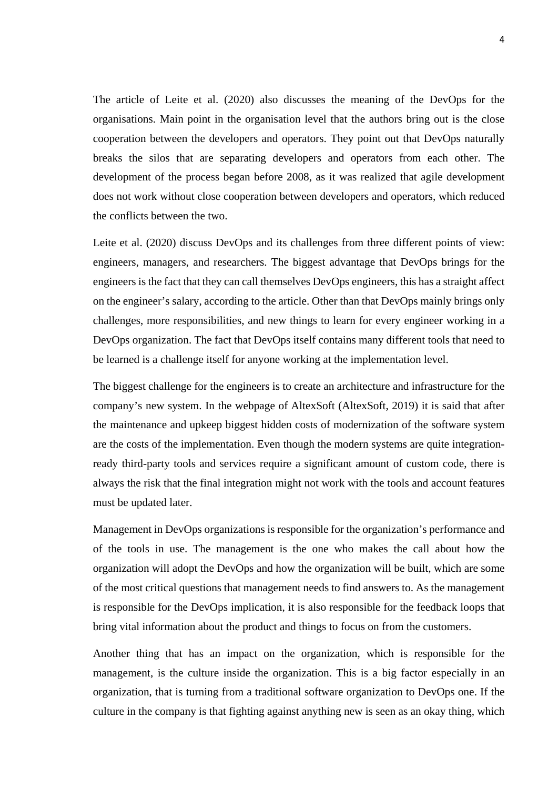The article of Leite et al. (2020) also discusses the meaning of the DevOps for the organisations. Main point in the organisation level that the authors bring out is the close cooperation between the developers and operators. They point out that DevOps naturally breaks the silos that are separating developers and operators from each other. The development of the process began before 2008, as it was realized that agile development does not work without close cooperation between developers and operators, which reduced the conflicts between the two.

Leite et al. (2020) discuss DevOps and its challenges from three different points of view: engineers, managers, and researchers. The biggest advantage that DevOps brings for the engineers is the fact that they can call themselves DevOps engineers, this has a straight affect on the engineer's salary, according to the article. Other than that DevOps mainly brings only challenges, more responsibilities, and new things to learn for every engineer working in a DevOps organization. The fact that DevOps itself contains many different tools that need to be learned is a challenge itself for anyone working at the implementation level.

The biggest challenge for the engineers is to create an architecture and infrastructure for the company's new system. In the webpage of AltexSoft (AltexSoft, 2019) it is said that after the maintenance and upkeep biggest hidden costs of modernization of the software system are the costs of the implementation. Even though the modern systems are quite integrationready third-party tools and services require a significant amount of custom code, there is always the risk that the final integration might not work with the tools and account features must be updated later.

Management in DevOps organizations is responsible for the organization's performance and of the tools in use. The management is the one who makes the call about how the organization will adopt the DevOps and how the organization will be built, which are some of the most critical questions that management needs to find answers to. As the management is responsible for the DevOps implication, it is also responsible for the feedback loops that bring vital information about the product and things to focus on from the customers.

Another thing that has an impact on the organization, which is responsible for the management, is the culture inside the organization. This is a big factor especially in an organization, that is turning from a traditional software organization to DevOps one. If the culture in the company is that fighting against anything new is seen as an okay thing, which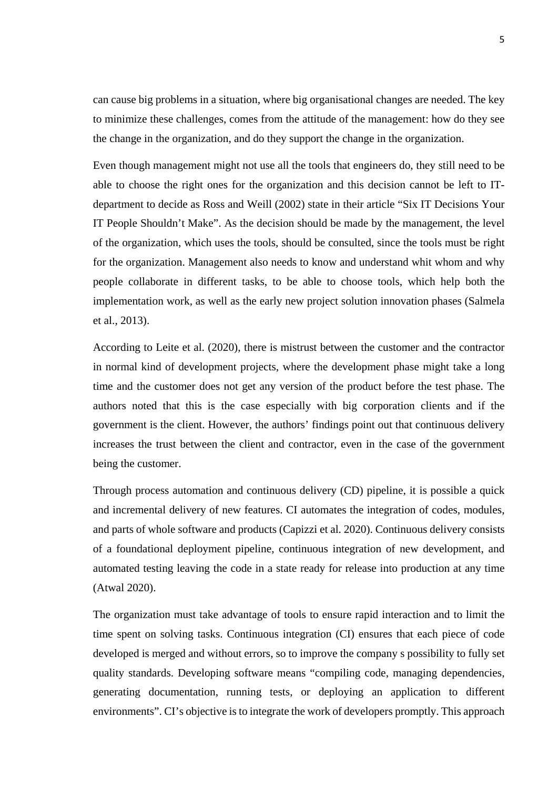can cause big problems in a situation, where big organisational changes are needed. The key to minimize these challenges, comes from the attitude of the management: how do they see the change in the organization, and do they support the change in the organization.

Even though management might not use all the tools that engineers do, they still need to be able to choose the right ones for the organization and this decision cannot be left to ITdepartment to decide as Ross and Weill (2002) state in their article "Six IT Decisions Your IT People Shouldn't Make". As the decision should be made by the management, the level of the organization, which uses the tools, should be consulted, since the tools must be right for the organization. Management also needs to know and understand whit whom and why people collaborate in different tasks, to be able to choose tools, which help both the implementation work, as well as the early new project solution innovation phases (Salmela et al., 2013).

According to Leite et al. (2020), there is mistrust between the customer and the contractor in normal kind of development projects, where the development phase might take a long time and the customer does not get any version of the product before the test phase. The authors noted that this is the case especially with big corporation clients and if the government is the client. However, the authors' findings point out that continuous delivery increases the trust between the client and contractor, even in the case of the government being the customer.

Through process automation and continuous delivery (CD) pipeline, it is possible a quick and incremental delivery of new features. CI automates the integration of codes, modules, and parts of whole software and products (Capizzi et al. 2020). Continuous delivery consists of a foundational deployment pipeline, continuous integration of new development, and automated testing leaving the code in a state ready for release into production at any time (Atwal 2020).

The organization must take advantage of tools to ensure rapid interaction and to limit the time spent on solving tasks. Continuous integration (CI) ensures that each piece of code developed is merged and without errors, so to improve the company s possibility to fully set quality standards. Developing software means "compiling code, managing dependencies, generating documentation, running tests, or deploying an application to different environments". CI's objective is to integrate the work of developers promptly. This approach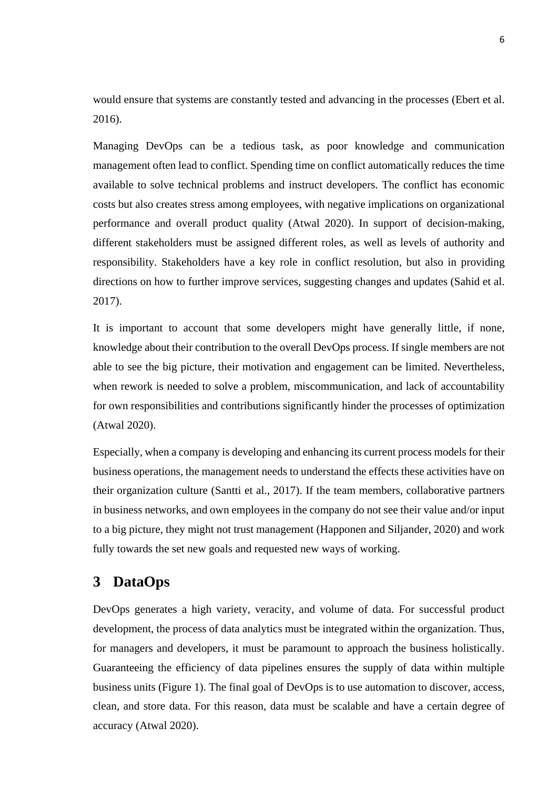would ensure that systems are constantly tested and advancing in the processes (Ebert et al. 2016).

Managing DevOps can be a tedious task, as poor knowledge and communication management often lead to conflict. Spending time on conflict automatically reduces the time available to solve technical problems and instruct developers. The conflict has economic costs but also creates stress among employees, with negative implications on organizational performance and overall product quality (Atwal 2020). In support of decision-making, different stakeholders must be assigned different roles, as well as levels of authority and responsibility. Stakeholders have a key role in conflict resolution, but also in providing directions on how to further improve services, suggesting changes and updates (Sahid et al. 2017).

It is important to account that some developers might have generally little, if none, knowledge about their contribution to the overall DevOps process. If single members are not able to see the big picture, their motivation and engagement can be limited. Nevertheless, when rework is needed to solve a problem, miscommunication, and lack of accountability for own responsibilities and contributions significantly hinder the processes of optimization (Atwal 2020).

Especially, when a company is developing and enhancing its current process models for their business operations, the management needs to understand the effects these activities have on their organization culture (Santti et al., 2017). If the team members, collaborative partners in business networks, and own employees in the company do not see their value and/or input to a big picture, they might not trust management (Happonen and Siljander, 2020) and work fully towards the set new goals and requested new ways of working.

# <span id="page-8-0"></span>**3 DataOps**

DevOps generates a high variety, veracity, and volume of data. For successful product development, the process of data analytics must be integrated within the organization. Thus, for managers and developers, it must be paramount to approach the business holistically. Guaranteeing the efficiency of data pipelines ensures the supply of data within multiple business units (Figure 1). The final goal of DevOps is to use automation to discover, access, clean, and store data. For this reason, data must be scalable and have a certain degree of accuracy (Atwal 2020).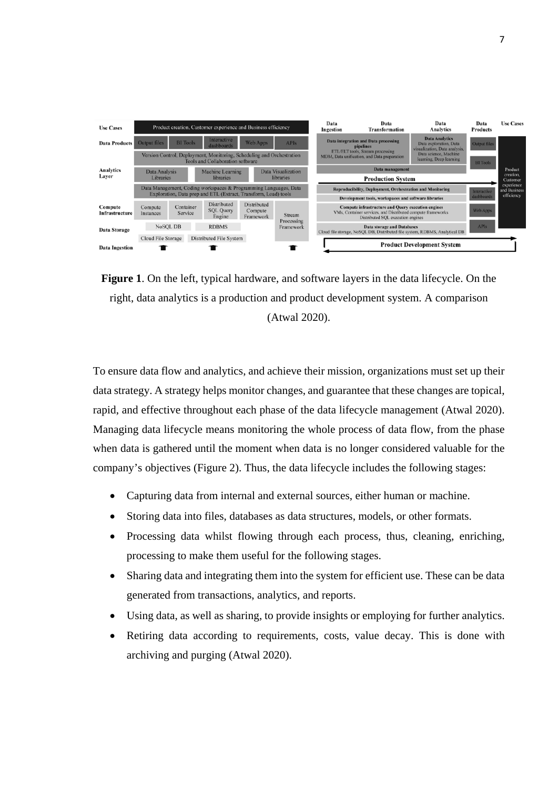

**Figure 1**. On the left, typical hardware, and software layers in the data lifecycle. On the right, data analytics is a production and product development system. A comparison (Atwal 2020).

To ensure data flow and analytics, and achieve their mission, organizations must set up their data strategy. A strategy helps monitor changes, and guarantee that these changes are topical, rapid, and effective throughout each phase of the data lifecycle management (Atwal 2020). Managing data lifecycle means monitoring the whole process of data flow, from the phase when data is gathered until the moment when data is no longer considered valuable for the company's objectives (Figure 2). Thus, the data lifecycle includes the following stages:

- Capturing data from internal and external sources, either human or machine.
- Storing data into files, databases as data structures, models, or other formats.
- Processing data whilst flowing through each process, thus, cleaning, enriching, processing to make them useful for the following stages.
- Sharing data and integrating them into the system for efficient use. These can be data generated from transactions, analytics, and reports.
- Using data, as well as sharing, to provide insights or employing for further analytics.
- Retiring data according to requirements, costs, value decay. This is done with archiving and purging (Atwal 2020).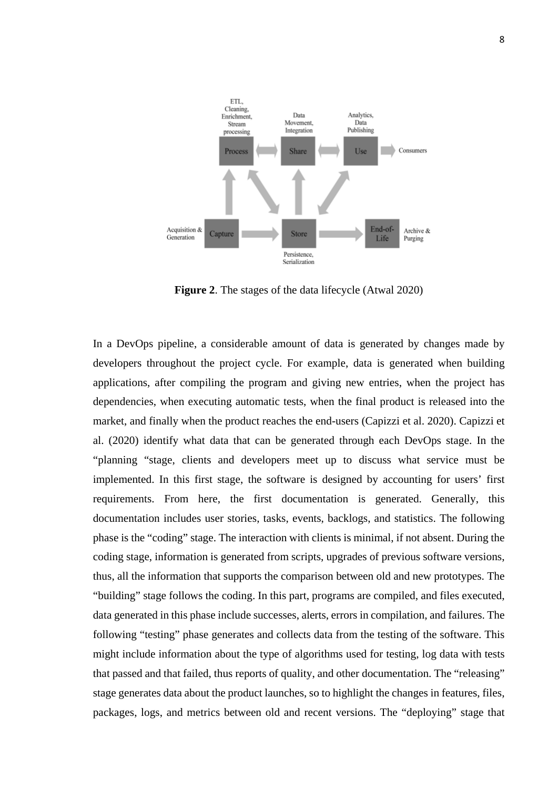

**Figure 2**. The stages of the data lifecycle (Atwal 2020)

In a DevOps pipeline, a considerable amount of data is generated by changes made by developers throughout the project cycle. For example, data is generated when building applications, after compiling the program and giving new entries, when the project has dependencies, when executing automatic tests, when the final product is released into the market, and finally when the product reaches the end-users (Capizzi et al. 2020). Capizzi et al. (2020) identify what data that can be generated through each DevOps stage. In the "planning "stage, clients and developers meet up to discuss what service must be implemented. In this first stage, the software is designed by accounting for users' first requirements. From here, the first documentation is generated. Generally, this documentation includes user stories, tasks, events, backlogs, and statistics. The following phase is the "coding" stage. The interaction with clients is minimal, if not absent. During the coding stage, information is generated from scripts, upgrades of previous software versions, thus, all the information that supports the comparison between old and new prototypes. The "building" stage follows the coding. In this part, programs are compiled, and files executed, data generated in this phase include successes, alerts, errors in compilation, and failures. The following "testing" phase generates and collects data from the testing of the software. This might include information about the type of algorithms used for testing, log data with tests that passed and that failed, thus reports of quality, and other documentation. The "releasing" stage generates data about the product launches, so to highlight the changes in features, files, packages, logs, and metrics between old and recent versions. The "deploying" stage that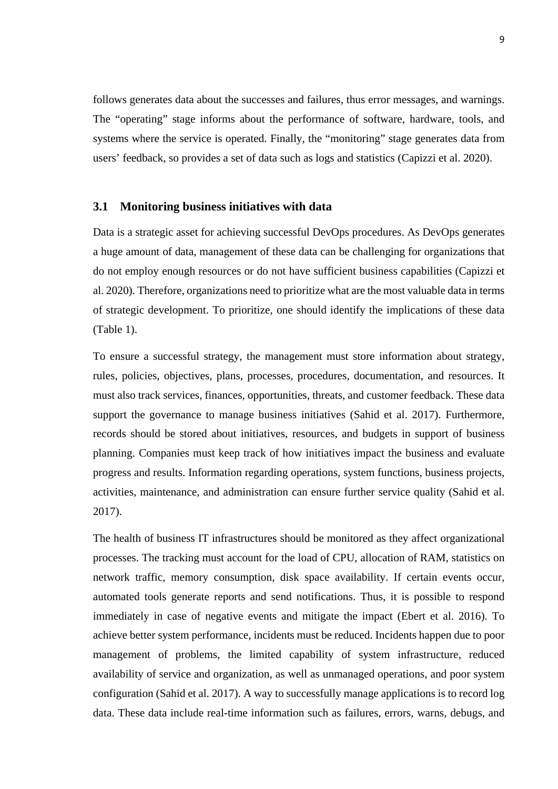follows generates data about the successes and failures, thus error messages, and warnings. The "operating" stage informs about the performance of software, hardware, tools, and systems where the service is operated. Finally, the "monitoring" stage generates data from users' feedback, so provides a set of data such as logs and statistics (Capizzi et al. 2020).

#### <span id="page-11-0"></span>**3.1 Monitoring business initiatives with data**

Data is a strategic asset for achieving successful DevOps procedures. As DevOps generates a huge amount of data, management of these data can be challenging for organizations that do not employ enough resources or do not have sufficient business capabilities (Capizzi et al. 2020). Therefore, organizations need to prioritize what are the most valuable data in terms of strategic development. To prioritize, one should identify the implications of these data (Table 1).

To ensure a successful strategy, the management must store information about strategy, rules, policies, objectives, plans, processes, procedures, documentation, and resources. It must also track services, finances, opportunities, threats, and customer feedback. These data support the governance to manage business initiatives (Sahid et al. 2017). Furthermore, records should be stored about initiatives, resources, and budgets in support of business planning. Companies must keep track of how initiatives impact the business and evaluate progress and results. Information regarding operations, system functions, business projects, activities, maintenance, and administration can ensure further service quality (Sahid et al. 2017).

The health of business IT infrastructures should be monitored as they affect organizational processes. The tracking must account for the load of CPU, allocation of RAM, statistics on network traffic, memory consumption, disk space availability. If certain events occur, automated tools generate reports and send notifications. Thus, it is possible to respond immediately in case of negative events and mitigate the impact (Ebert et al. 2016). To achieve better system performance, incidents must be reduced. Incidents happen due to poor management of problems, the limited capability of system infrastructure, reduced availability of service and organization, as well as unmanaged operations, and poor system configuration (Sahid et al. 2017). A way to successfully manage applications is to record log data. These data include real-time information such as failures, errors, warns, debugs, and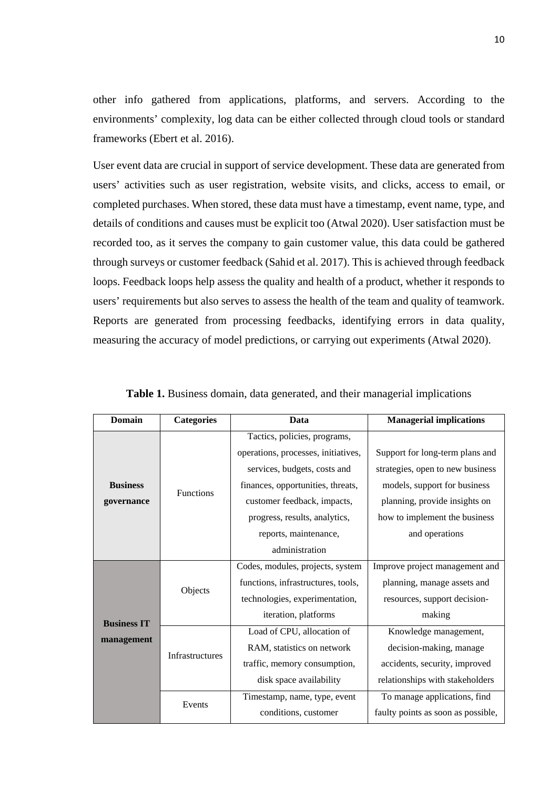other info gathered from applications, platforms, and servers. According to the environments' complexity, log data can be either collected through cloud tools or standard frameworks (Ebert et al. 2016).

User event data are crucial in support of service development. These data are generated from users' activities such as user registration, website visits, and clicks, access to email, or completed purchases. When stored, these data must have a timestamp, event name, type, and details of conditions and causes must be explicit too (Atwal 2020). User satisfaction must be recorded too, as it serves the company to gain customer value, this data could be gathered through surveys or customer feedback (Sahid et al. 2017). This is achieved through feedback loops. Feedback loops help assess the quality and health of a product, whether it responds to users' requirements but also serves to assess the health of the team and quality of teamwork. Reports are generated from processing feedbacks, identifying errors in data quality, measuring the accuracy of model predictions, or carrying out experiments (Atwal 2020).

| <b>Domain</b>      | <b>Categories</b> | Data                                                 | <b>Managerial implications</b>                                     |  |  |  |
|--------------------|-------------------|------------------------------------------------------|--------------------------------------------------------------------|--|--|--|
|                    |                   | Tactics, policies, programs,                         |                                                                    |  |  |  |
|                    |                   | operations, processes, initiatives,                  | Support for long-term plans and                                    |  |  |  |
|                    |                   | services, budgets, costs and                         | strategies, open to new business                                   |  |  |  |
| <b>Business</b>    |                   | finances, opportunities, threats,                    | models, support for business                                       |  |  |  |
| governance         | <b>Functions</b>  | customer feedback, impacts,                          | planning, provide insights on                                      |  |  |  |
|                    |                   | progress, results, analytics,                        | how to implement the business                                      |  |  |  |
|                    |                   | reports, maintenance,                                | and operations                                                     |  |  |  |
|                    |                   | administration                                       |                                                                    |  |  |  |
|                    |                   | Codes, modules, projects, system                     | Improve project management and                                     |  |  |  |
|                    |                   | functions, infrastructures, tools,                   | planning, manage assets and                                        |  |  |  |
|                    | Objects           | technologies, experimentation,                       | resources, support decision-                                       |  |  |  |
| <b>Business IT</b> |                   | iteration, platforms                                 | making                                                             |  |  |  |
|                    |                   | Load of CPU, allocation of                           | Knowledge management,                                              |  |  |  |
| management         | Infrastructures   | RAM, statistics on network                           | decision-making, manage                                            |  |  |  |
|                    |                   | traffic, memory consumption,                         | accidents, security, improved                                      |  |  |  |
|                    |                   | disk space availability                              | relationships with stakeholders                                    |  |  |  |
|                    | Events            | Timestamp, name, type, event<br>conditions, customer | To manage applications, find<br>faulty points as soon as possible, |  |  |  |

**Table 1.** Business domain, data generated, and their managerial implications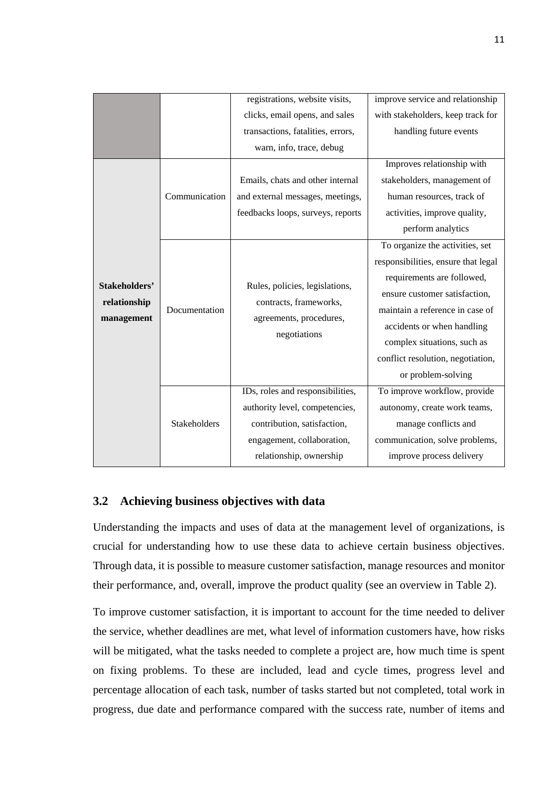|               |               | registrations, website visits,    | improve service and relationship    |  |  |
|---------------|---------------|-----------------------------------|-------------------------------------|--|--|
|               |               | clicks, email opens, and sales    | with stakeholders, keep track for   |  |  |
|               |               | transactions, fatalities, errors, | handling future events              |  |  |
|               |               | warn, info, trace, debug          |                                     |  |  |
|               |               |                                   | Improves relationship with          |  |  |
|               |               | Emails, chats and other internal  | stakeholders, management of         |  |  |
|               | Communication | and external messages, meetings,  | human resources, track of           |  |  |
|               |               | feedbacks loops, surveys, reports | activities, improve quality,        |  |  |
|               |               |                                   | perform analytics                   |  |  |
|               |               |                                   | To organize the activities, set     |  |  |
|               |               |                                   | responsibilities, ensure that legal |  |  |
| Stakeholders' |               |                                   | requirements are followed,          |  |  |
|               |               | Rules, policies, legislations,    | ensure customer satisfaction,       |  |  |
| relationship  | Documentation | contracts, frameworks,            | maintain a reference in case of     |  |  |
| management    |               | agreements, procedures,           | accidents or when handling          |  |  |
|               |               | negotiations                      | complex situations, such as         |  |  |
|               |               |                                   | conflict resolution, negotiation,   |  |  |
|               |               |                                   | or problem-solving                  |  |  |
|               |               | IDs, roles and responsibilities,  | To improve workflow, provide        |  |  |
|               |               | authority level, competencies,    | autonomy, create work teams,        |  |  |
|               | Stakeholders  | contribution, satisfaction,       | manage conflicts and                |  |  |
|               |               | engagement, collaboration,        | communication, solve problems,      |  |  |
|               |               | relationship, ownership           | improve process delivery            |  |  |
|               |               |                                   |                                     |  |  |

## <span id="page-13-0"></span>**3.2 Achieving business objectives with data**

Understanding the impacts and uses of data at the management level of organizations, is crucial for understanding how to use these data to achieve certain business objectives. Through data, it is possible to measure customer satisfaction, manage resources and monitor their performance, and, overall, improve the product quality (see an overview in Table 2).

To improve customer satisfaction, it is important to account for the time needed to deliver the service, whether deadlines are met, what level of information customers have, how risks will be mitigated, what the tasks needed to complete a project are, how much time is spent on fixing problems. To these are included, lead and cycle times, progress level and percentage allocation of each task, number of tasks started but not completed, total work in progress, due date and performance compared with the success rate, number of items and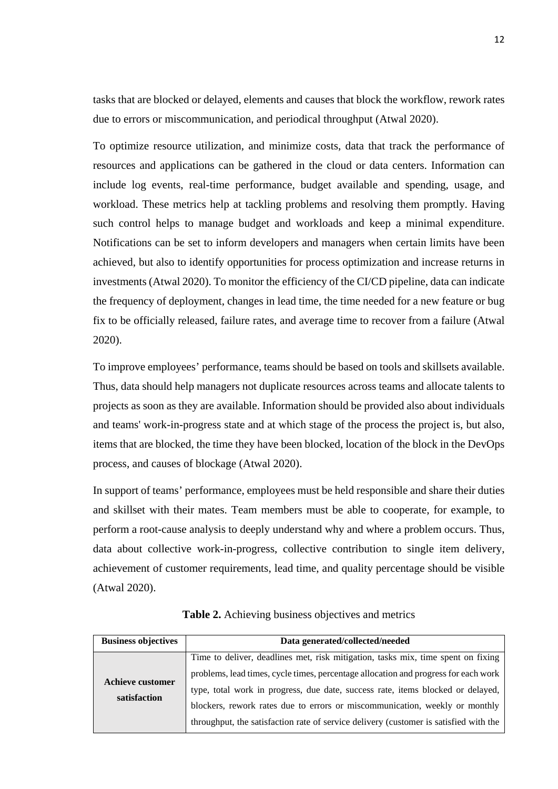tasks that are blocked or delayed, elements and causes that block the workflow, rework rates due to errors or miscommunication, and periodical throughput (Atwal 2020).

To optimize resource utilization, and minimize costs, data that track the performance of resources and applications can be gathered in the cloud or data centers. Information can include log events, real-time performance, budget available and spending, usage, and workload. These metrics help at tackling problems and resolving them promptly. Having such control helps to manage budget and workloads and keep a minimal expenditure. Notifications can be set to inform developers and managers when certain limits have been achieved, but also to identify opportunities for process optimization and increase returns in investments (Atwal 2020). To monitor the efficiency of the CI/CD pipeline, data can indicate the frequency of deployment, changes in lead time, the time needed for a new feature or bug fix to be officially released, failure rates, and average time to recover from a failure (Atwal 2020).

To improve employees' performance, teams should be based on tools and skillsets available. Thus, data should help managers not duplicate resources across teams and allocate talents to projects as soon as they are available. Information should be provided also about individuals and teams' work-in-progress state and at which stage of the process the project is, but also, items that are blocked, the time they have been blocked, location of the block in the DevOps process, and causes of blockage (Atwal 2020).

In support of teams' performance, employees must be held responsible and share their duties and skillset with their mates. Team members must be able to cooperate, for example, to perform a root-cause analysis to deeply understand why and where a problem occurs. Thus, data about collective work-in-progress, collective contribution to single item delivery, achievement of customer requirements, lead time, and quality percentage should be visible (Atwal 2020).

| <b>Business objectives</b> | Data generated/collected/needed                                                       |
|----------------------------|---------------------------------------------------------------------------------------|
|                            | Time to deliver, deadlines met, risk mitigation, tasks mix, time spent on fixing      |
| <b>Achieve customer</b>    | problems, lead times, cycle times, percentage allocation and progress for each work   |
| satisfaction               | type, total work in progress, due date, success rate, items blocked or delayed,       |
|                            | blockers, rework rates due to errors or miscommunication, weekly or monthly           |
|                            | throughput, the satisfaction rate of service delivery (customer is satisfied with the |

**Table 2.** Achieving business objectives and metrics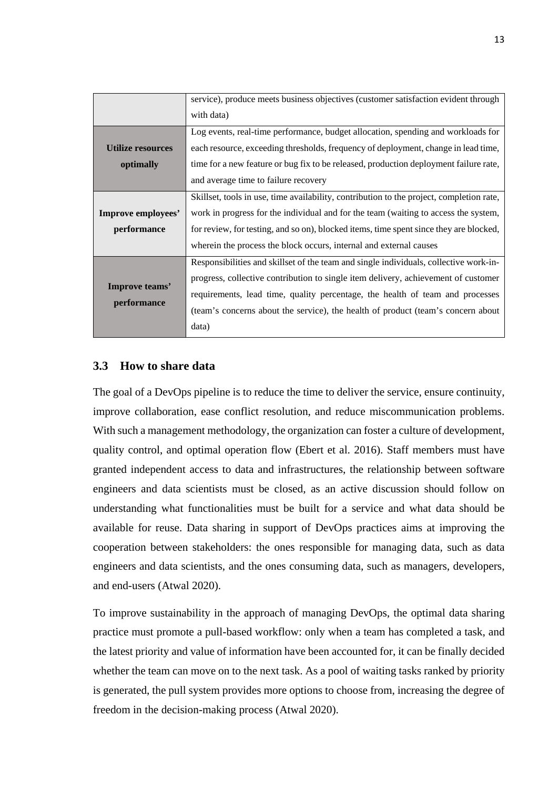|                    | service), produce meets business objectives (customer satisfaction evident through       |
|--------------------|------------------------------------------------------------------------------------------|
|                    | with data)                                                                               |
|                    | Log events, real-time performance, budget allocation, spending and workloads for         |
| Utilize resources  | each resource, exceeding thresholds, frequency of deployment, change in lead time,       |
| optimally          | time for a new feature or bug fix to be released, production deployment failure rate,    |
|                    | and average time to failure recovery                                                     |
|                    | Skillset, tools in use, time availability, contribution to the project, completion rate, |
| Improve employees' | work in progress for the individual and for the team (waiting to access the system,      |
| performance        | for review, for testing, and so on), blocked items, time spent since they are blocked,   |
|                    | wherein the process the block occurs, internal and external causes                       |
|                    | Responsibilities and skillset of the team and single individuals, collective work-in-    |
|                    | progress, collective contribution to single item delivery, achievement of customer       |
| Improve teams'     | requirements, lead time, quality percentage, the health of team and processes            |
| performance        | (team's concerns about the service), the health of product (team's concern about         |
|                    | data)                                                                                    |
|                    |                                                                                          |

### <span id="page-15-0"></span>**3.3 How to share data**

The goal of a DevOps pipeline is to reduce the time to deliver the service, ensure continuity, improve collaboration, ease conflict resolution, and reduce miscommunication problems. With such a management methodology, the organization can foster a culture of development, quality control, and optimal operation flow (Ebert et al. 2016). Staff members must have granted independent access to data and infrastructures, the relationship between software engineers and data scientists must be closed, as an active discussion should follow on understanding what functionalities must be built for a service and what data should be available for reuse. Data sharing in support of DevOps practices aims at improving the cooperation between stakeholders: the ones responsible for managing data, such as data engineers and data scientists, and the ones consuming data, such as managers, developers, and end-users (Atwal 2020).

To improve sustainability in the approach of managing DevOps, the optimal data sharing practice must promote a pull-based workflow: only when a team has completed a task, and the latest priority and value of information have been accounted for, it can be finally decided whether the team can move on to the next task. As a pool of waiting tasks ranked by priority is generated, the pull system provides more options to choose from, increasing the degree of freedom in the decision-making process (Atwal 2020).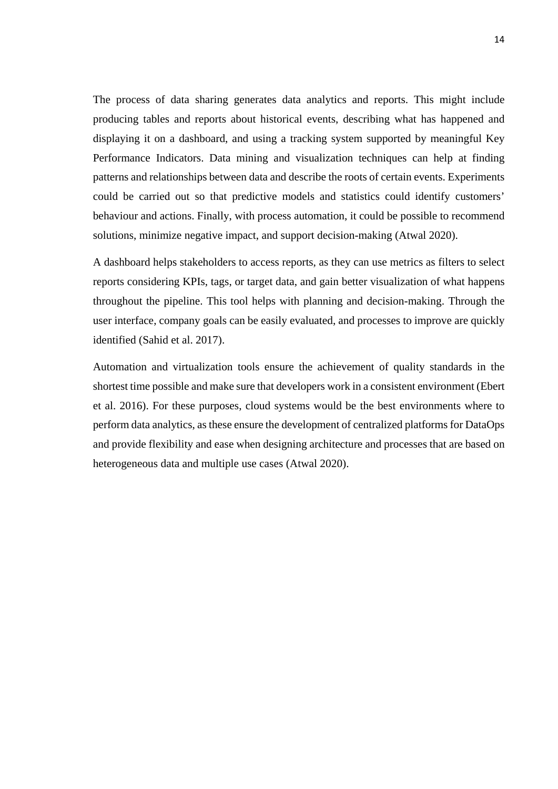The process of data sharing generates data analytics and reports. This might include producing tables and reports about historical events, describing what has happened and displaying it on a dashboard, and using a tracking system supported by meaningful Key Performance Indicators. Data mining and visualization techniques can help at finding patterns and relationships between data and describe the roots of certain events. Experiments could be carried out so that predictive models and statistics could identify customers' behaviour and actions. Finally, with process automation, it could be possible to recommend solutions, minimize negative impact, and support decision-making (Atwal 2020).

A dashboard helps stakeholders to access reports, as they can use metrics as filters to select reports considering KPIs, tags, or target data, and gain better visualization of what happens throughout the pipeline. This tool helps with planning and decision-making. Through the user interface, company goals can be easily evaluated, and processes to improve are quickly identified (Sahid et al. 2017).

Automation and virtualization tools ensure the achievement of quality standards in the shortest time possible and make sure that developers work in a consistent environment (Ebert et al. 2016). For these purposes, cloud systems would be the best environments where to perform data analytics, as these ensure the development of centralized platforms for DataOps and provide flexibility and ease when designing architecture and processes that are based on heterogeneous data and multiple use cases (Atwal 2020).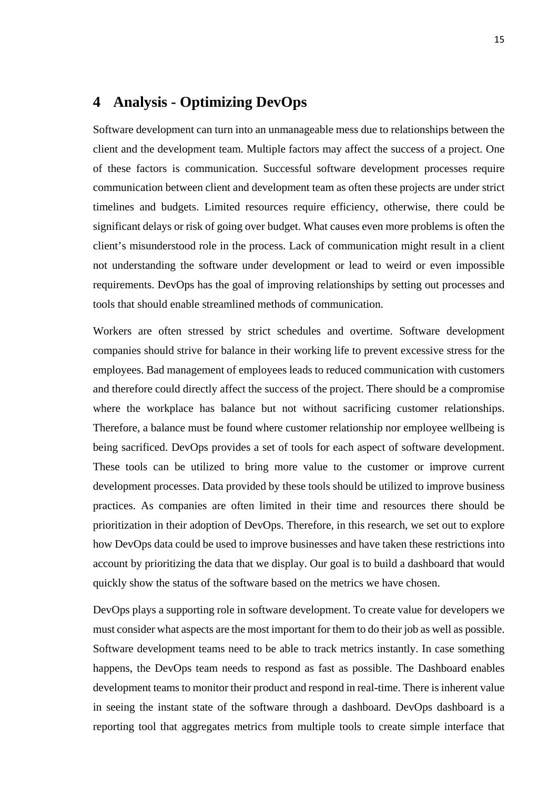# <span id="page-17-0"></span>**4 Analysis - Optimizing DevOps**

Software development can turn into an unmanageable mess due to relationships between the client and the development team. Multiple factors may affect the success of a project. One of these factors is communication. Successful software development processes require communication between client and development team as often these projects are under strict timelines and budgets. Limited resources require efficiency, otherwise, there could be significant delays or risk of going over budget. What causes even more problems is often the client's misunderstood role in the process. Lack of communication might result in a client not understanding the software under development or lead to weird or even impossible requirements. DevOps has the goal of improving relationships by setting out processes and tools that should enable streamlined methods of communication.

Workers are often stressed by strict schedules and overtime. Software development companies should strive for balance in their working life to prevent excessive stress for the employees. Bad management of employees leads to reduced communication with customers and therefore could directly affect the success of the project. There should be a compromise where the workplace has balance but not without sacrificing customer relationships. Therefore, a balance must be found where customer relationship nor employee wellbeing is being sacrificed. DevOps provides a set of tools for each aspect of software development. These tools can be utilized to bring more value to the customer or improve current development processes. Data provided by these tools should be utilized to improve business practices. As companies are often limited in their time and resources there should be prioritization in their adoption of DevOps. Therefore, in this research, we set out to explore how DevOps data could be used to improve businesses and have taken these restrictions into account by prioritizing the data that we display. Our goal is to build a dashboard that would quickly show the status of the software based on the metrics we have chosen.

DevOps plays a supporting role in software development. To create value for developers we must consider what aspects are the most important for them to do their job as well as possible. Software development teams need to be able to track metrics instantly. In case something happens, the DevOps team needs to respond as fast as possible. The Dashboard enables development teams to monitor their product and respond in real-time. There is inherent value in seeing the instant state of the software through a dashboard. DevOps dashboard is a reporting tool that aggregates metrics from multiple tools to create simple interface that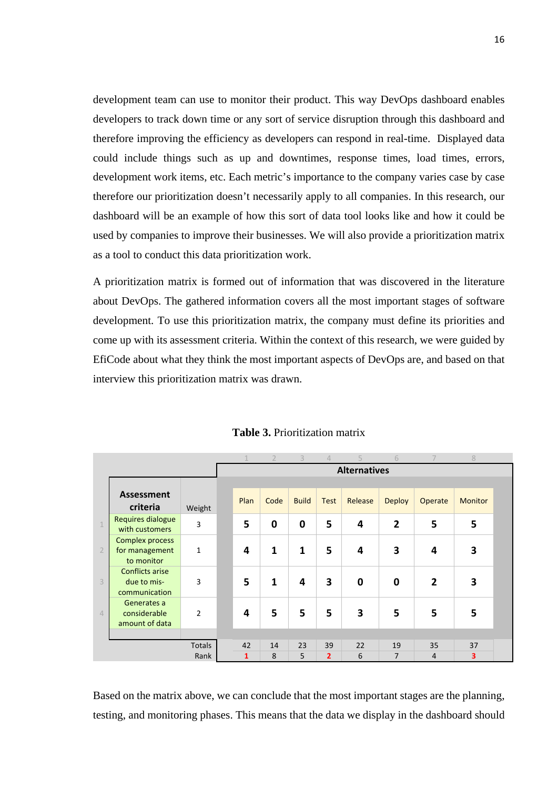development team can use to monitor their product. This way DevOps dashboard enables developers to track down time or any sort of service disruption through this dashboard and therefore improving the efficiency as developers can respond in real-time. Displayed data could include things such as up and downtimes, response times, load times, errors, development work items, etc. Each metric's importance to the company varies case by case therefore our prioritization doesn't necessarily apply to all companies. In this research, our dashboard will be an example of how this sort of data tool looks like and how it could be used by companies to improve their businesses. We will also provide a prioritization matrix as a tool to conduct this data prioritization work.

A prioritization matrix is formed out of information that was discovered in the literature about DevOps. The gathered information covers all the most important stages of software development. To use this prioritization matrix, the company must define its priorities and come up with its assessment criteria. Within the context of this research, we were guided by EfiCode about what they think the most important aspects of DevOps are, and based on that interview this prioritization matrix was drawn.

|                                                 |                       |                     | $\overline{2}$ | 3            | $\Delta$             | 5           | 6                    |                      | 8              |
|-------------------------------------------------|-----------------------|---------------------|----------------|--------------|----------------------|-------------|----------------------|----------------------|----------------|
|                                                 |                       | <b>Alternatives</b> |                |              |                      |             |                      |                      |                |
| <b>Assessment</b><br>criteria                   | Weight                | Plan                | Code           | <b>Build</b> | <b>Test</b>          | Release     | <b>Deploy</b>        | Operate              | <b>Monitor</b> |
| Requires dialogue<br>with customers             | 3                     | 5                   | $\mathbf 0$    | 0            | 5                    | 4           | $\overline{2}$       | 5                    | 5              |
| Complex process<br>for management<br>to monitor | $\mathbf{1}$          | 4                   | 1              | 1            | 5                    | 4           | 3                    | 4                    | 3              |
| Conflicts arise<br>due to mis-<br>communication | 3                     | 5                   | 1              | 4            | 3                    | $\mathbf 0$ | 0                    | $\overline{2}$       | 3              |
| Generates a<br>considerable<br>amount of data   | $\overline{2}$        | 4                   | 5              | 5            | 5                    | 3           | 5                    | 5                    | 5              |
|                                                 |                       |                     |                |              |                      |             |                      |                      |                |
|                                                 | <b>Totals</b><br>Rank | 42<br>1             | 14<br>8        | 23<br>5      | 39<br>$\overline{2}$ | 22<br>6     | 19<br>$\overline{7}$ | 35<br>$\overline{4}$ | 37<br>3        |

### **Table 3.** Prioritization matrix

Based on the matrix above, we can conclude that the most important stages are the planning, testing, and monitoring phases. This means that the data we display in the dashboard should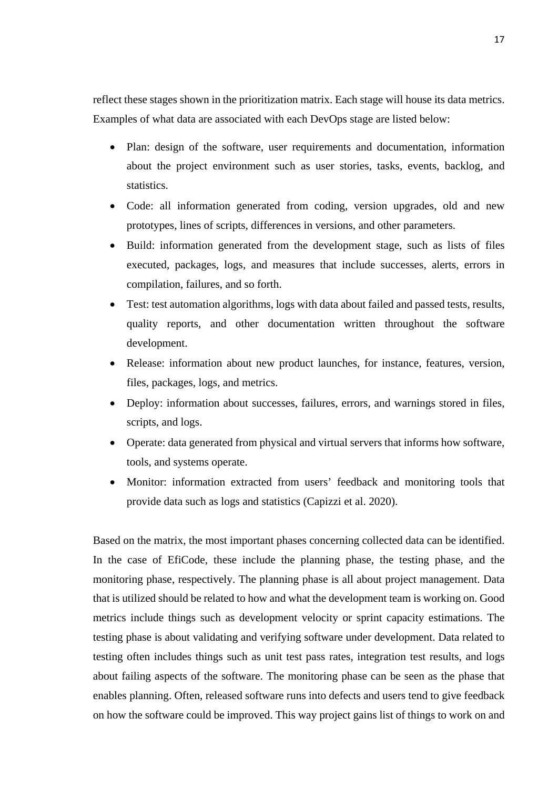reflect these stages shown in the prioritization matrix. Each stage will house its data metrics. Examples of what data are associated with each DevOps stage are listed below:

- Plan: design of the software, user requirements and documentation, information about the project environment such as user stories, tasks, events, backlog, and statistics.
- Code: all information generated from coding, version upgrades, old and new prototypes, lines of scripts, differences in versions, and other parameters.
- Build: information generated from the development stage, such as lists of files executed, packages, logs, and measures that include successes, alerts, errors in compilation, failures, and so forth.
- Test: test automation algorithms, logs with data about failed and passed tests, results, quality reports, and other documentation written throughout the software development.
- Release: information about new product launches, for instance, features, version, files, packages, logs, and metrics.
- Deploy: information about successes, failures, errors, and warnings stored in files, scripts, and logs.
- Operate: data generated from physical and virtual servers that informs how software, tools, and systems operate.
- Monitor: information extracted from users' feedback and monitoring tools that provide data such as logs and statistics (Capizzi et al. 2020).

Based on the matrix, the most important phases concerning collected data can be identified. In the case of EfiCode, these include the planning phase, the testing phase, and the monitoring phase, respectively. The planning phase is all about project management. Data that is utilized should be related to how and what the development team is working on. Good metrics include things such as development velocity or sprint capacity estimations. The testing phase is about validating and verifying software under development. Data related to testing often includes things such as unit test pass rates, integration test results, and logs about failing aspects of the software. The monitoring phase can be seen as the phase that enables planning. Often, released software runs into defects and users tend to give feedback on how the software could be improved. This way project gains list of things to work on and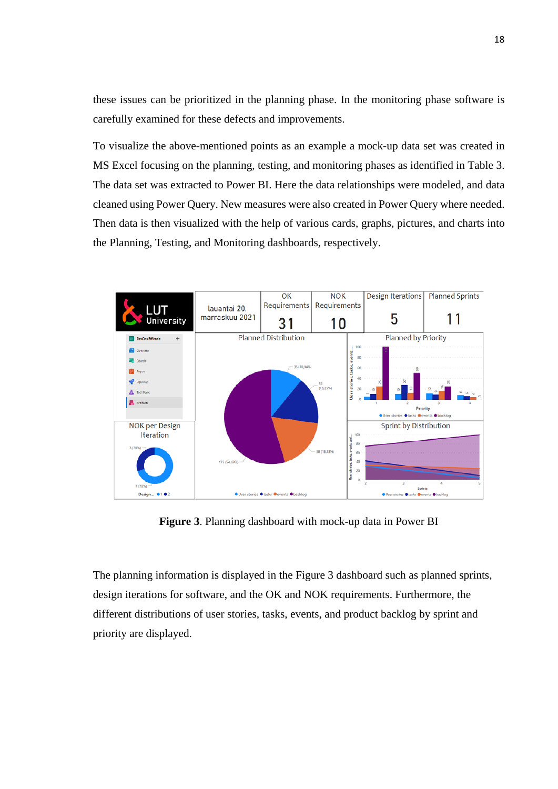these issues can be prioritized in the planning phase. In the monitoring phase software is carefully examined for these defects and improvements.

To visualize the above-mentioned points as an example a mock-up data set was created in MS Excel focusing on the planning, testing, and monitoring phases as identified in Table 3. The data set was extracted to Power BI. Here the data relationships were modeled, and data cleaned using Power Query. New measures were also created in Power Query where needed. Then data is then visualized with the help of various cards, graphs, pictures, and charts into the Planning, Testing, and Monitoring dashboards, respectively.



**Figure 3**. Planning dashboard with mock-up data in Power BI

The planning information is displayed in the Figure 3 dashboard such as planned sprints, design iterations for software, and the OK and NOK requirements. Furthermore, the different distributions of user stories, tasks, events, and product backlog by sprint and priority are displayed.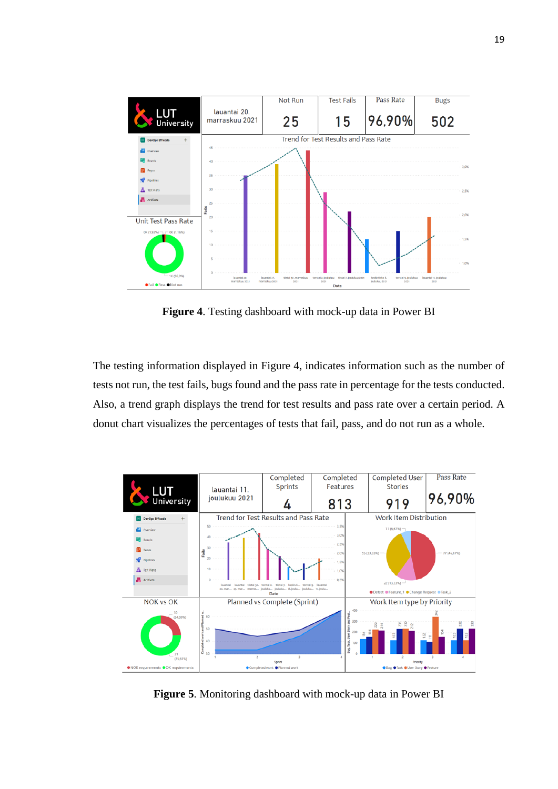

**Figure 4**. Testing dashboard with mock-up data in Power BI

The testing information displayed in Figure 4, indicates information such as the number of tests not run, the test fails, bugs found and the pass rate in percentage for the tests conducted. Also, a trend graph displays the trend for test results and pass rate over a certain period. A donut chart visualizes the percentages of tests that fail, pass, and do not run as a whole.



**Figure 5**. Monitoring dashboard with mock-up data in Power BI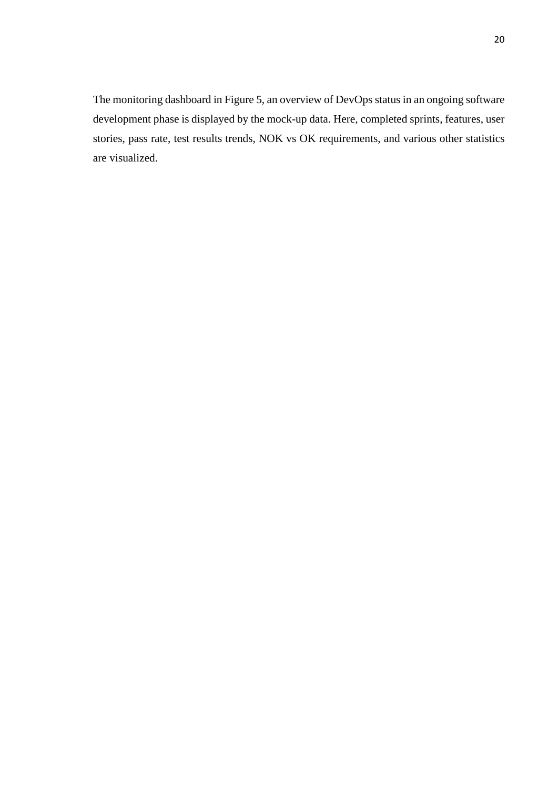The monitoring dashboard in Figure 5, an overview of DevOps status in an ongoing software development phase is displayed by the mock-up data. Here, completed sprints, features, user stories, pass rate, test results trends, NOK vs OK requirements, and various other statistics are visualized.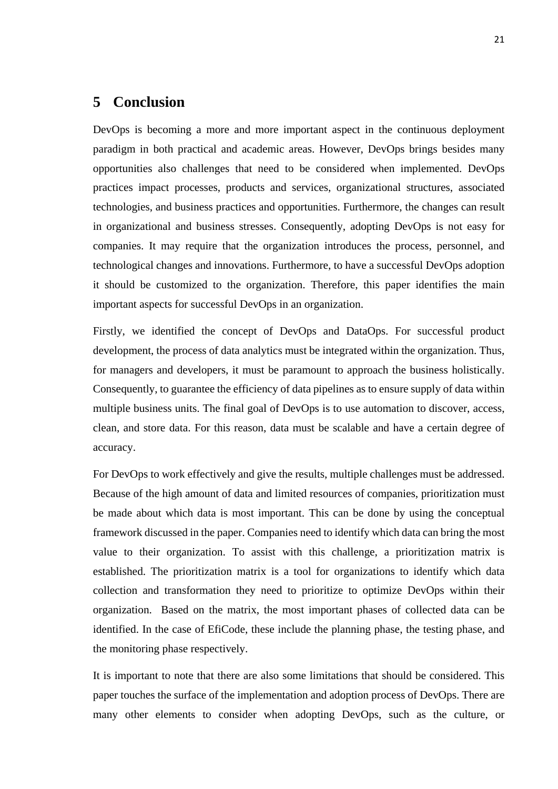# <span id="page-23-0"></span>**5 Conclusion**

DevOps is becoming a more and more important aspect in the continuous deployment paradigm in both practical and academic areas. However, DevOps brings besides many opportunities also challenges that need to be considered when implemented. DevOps practices impact processes, products and services, organizational structures, associated technologies, and business practices and opportunities. Furthermore, the changes can result in organizational and business stresses. Consequently, adopting DevOps is not easy for companies. It may require that the organization introduces the process, personnel, and technological changes and innovations. Furthermore, to have a successful DevOps adoption it should be customized to the organization. Therefore, this paper identifies the main important aspects for successful DevOps in an organization.

Firstly, we identified the concept of DevOps and DataOps. For successful product development, the process of data analytics must be integrated within the organization. Thus, for managers and developers, it must be paramount to approach the business holistically. Consequently, to guarantee the efficiency of data pipelines as to ensure supply of data within multiple business units. The final goal of DevOps is to use automation to discover, access, clean, and store data. For this reason, data must be scalable and have a certain degree of accuracy.

For DevOps to work effectively and give the results, multiple challenges must be addressed. Because of the high amount of data and limited resources of companies, prioritization must be made about which data is most important. This can be done by using the conceptual framework discussed in the paper. Companies need to identify which data can bring the most value to their organization. To assist with this challenge, a prioritization matrix is established. The prioritization matrix is a tool for organizations to identify which data collection and transformation they need to prioritize to optimize DevOps within their organization. Based on the matrix, the most important phases of collected data can be identified. In the case of EfiCode, these include the planning phase, the testing phase, and the monitoring phase respectively.

It is important to note that there are also some limitations that should be considered. This paper touches the surface of the implementation and adoption process of DevOps. There are many other elements to consider when adopting DevOps, such as the culture, or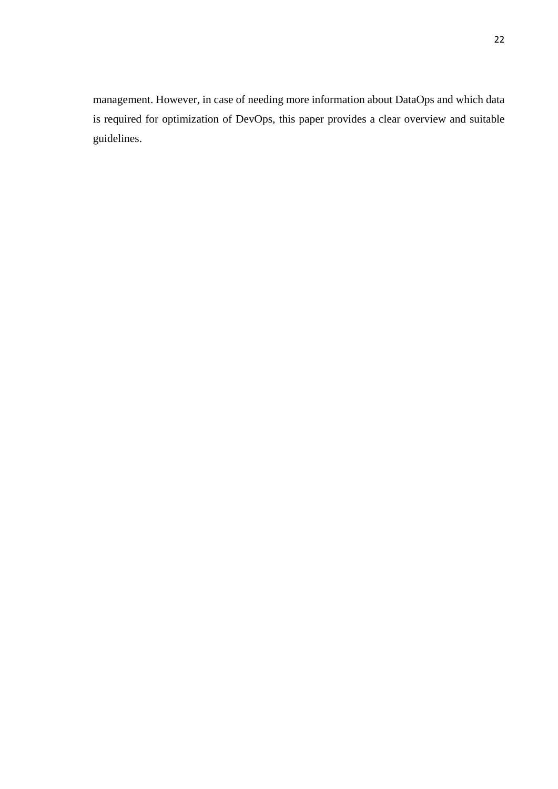management. However, in case of needing more information about DataOps and which data is required for optimization of DevOps, this paper provides a clear overview and suitable guidelines.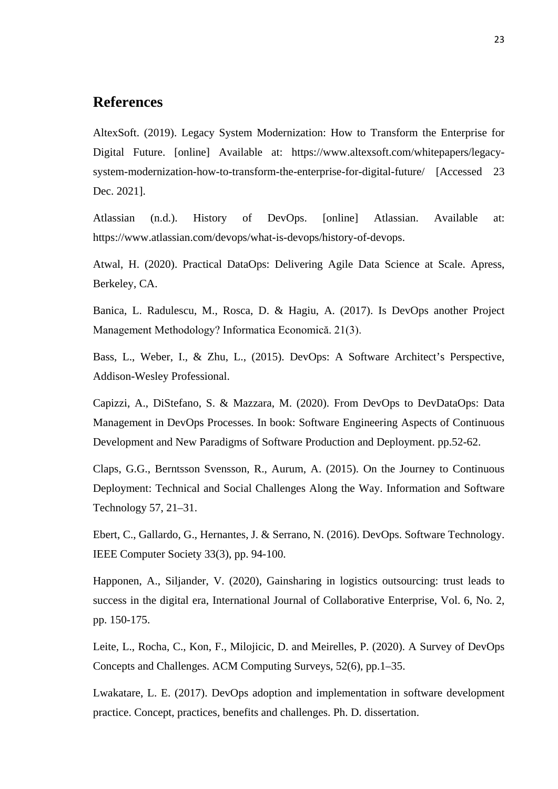## **References**

AltexSoft. (2019). Legacy System Modernization: How to Transform the Enterprise for Digital Future. [online] Available at: https://www.altexsoft.com/whitepapers/legacysystem-modernization-how-to-transform-the-enterprise-for-digital-future/ [Accessed 23 Dec. 2021].

Atlassian (n.d.). History of DevOps. [online] Atlassian. Available at: https://www.atlassian.com/devops/what-is-devops/history-of-devops.

Atwal, H. (2020). Practical DataOps: Delivering Agile Data Science at Scale. Apress, Berkeley, CA.

Banica, L. Radulescu, M., Rosca, D. & Hagiu, A. (2017). Is DevOps another Project Management Methodology? Informatica Economică. 21(3).

Bass, L., Weber, I., & Zhu, L., (2015). DevOps: A Software Architect's Perspective, Addison-Wesley Professional.

Capizzi, A., DiStefano, S. & Mazzara, M. (2020). From DevOps to DevDataOps: Data Management in DevOps Processes. In book: Software Engineering Aspects of Continuous Development and New Paradigms of Software Production and Deployment. pp.52-62.

Claps, G.G., Berntsson Svensson, R., Aurum, A. (2015). On the Journey to Continuous Deployment: Technical and Social Challenges Along the Way. Information and Software Technology 57, 21–31.

Ebert, C., Gallardo, G., Hernantes, J. & Serrano, N. (2016). DevOps. Software Technology. IEEE Computer Society 33(3), pp. 94-100.

Happonen, A., Siljander, V. (2020), Gainsharing in logistics outsourcing: trust leads to success in the digital era, International Journal of Collaborative Enterprise, Vol. 6, No. 2, pp. 150-175.

Leite, L., Rocha, C., Kon, F., Milojicic, D. and Meirelles, P. (2020). A Survey of DevOps Concepts and Challenges. ACM Computing Surveys, 52(6), pp.1–35.

Lwakatare, L. E. (2017). DevOps adoption and implementation in software development practice. Concept, practices, benefits and challenges. Ph. D. dissertation.